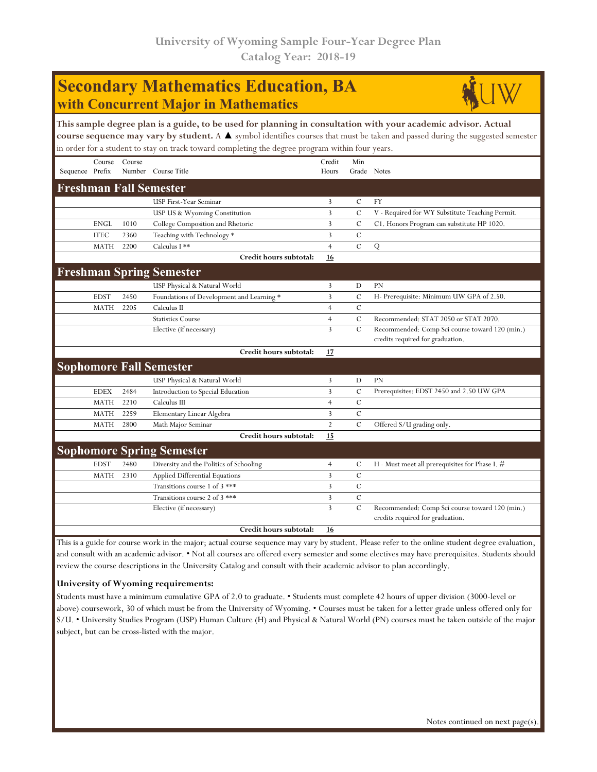## **Secondary Mathematics Education, BA with Concurrent Major in Mathematics**



| This sample degree plan is a guide, to be used for planning in consultation with your academic advisor. Actual<br>course sequence may vary by student. A ▲ symbol identifies courses that must be taken and passed during the suggested semester |             |        |                                                                                                 |                 |               |                                                                                    |  |  |  |
|--------------------------------------------------------------------------------------------------------------------------------------------------------------------------------------------------------------------------------------------------|-------------|--------|-------------------------------------------------------------------------------------------------|-----------------|---------------|------------------------------------------------------------------------------------|--|--|--|
|                                                                                                                                                                                                                                                  |             |        | in order for a student to stay on track toward completing the degree program within four years. |                 |               |                                                                                    |  |  |  |
| Sequence Prefix                                                                                                                                                                                                                                  | Course      | Course | Number Course Title                                                                             | Credit<br>Hours | Min           | Grade Notes                                                                        |  |  |  |
|                                                                                                                                                                                                                                                  |             |        |                                                                                                 |                 |               |                                                                                    |  |  |  |
|                                                                                                                                                                                                                                                  |             |        | <b>Freshman Fall Semester</b>                                                                   |                 |               |                                                                                    |  |  |  |
|                                                                                                                                                                                                                                                  |             |        | USP First-Year Seminar                                                                          | 3               | C             | <b>FY</b>                                                                          |  |  |  |
|                                                                                                                                                                                                                                                  |             |        | USP US & Wyoming Constitution                                                                   | 3               | $\mathcal{C}$ | V - Required for WY Substitute Teaching Permit.                                    |  |  |  |
|                                                                                                                                                                                                                                                  | <b>ENGL</b> | 1010   | College Composition and Rhetoric                                                                | 3               | $\mathcal{C}$ | C1. Honors Program can substitute HP 1020.                                         |  |  |  |
|                                                                                                                                                                                                                                                  | <b>ITEC</b> | 2360   | Teaching with Technology *                                                                      | 3               | $\mathcal{C}$ |                                                                                    |  |  |  |
|                                                                                                                                                                                                                                                  | <b>MATH</b> | 2200   | Calculus I **                                                                                   | $\overline{4}$  | $\mathcal{C}$ | Q                                                                                  |  |  |  |
|                                                                                                                                                                                                                                                  |             |        | Credit hours subtotal:                                                                          | 16              |               |                                                                                    |  |  |  |
|                                                                                                                                                                                                                                                  |             |        | <b>Freshman Spring Semester</b>                                                                 |                 |               |                                                                                    |  |  |  |
|                                                                                                                                                                                                                                                  |             |        | USP Physical & Natural World                                                                    | 3               | D             | <b>PN</b>                                                                          |  |  |  |
|                                                                                                                                                                                                                                                  | <b>EDST</b> | 2450   | Foundations of Development and Learning *                                                       | $\overline{3}$  | $\mathcal{C}$ | H- Prerequisite: Minimum UW GPA of 2.50.                                           |  |  |  |
|                                                                                                                                                                                                                                                  | <b>MATH</b> | 2205   | Calculus II                                                                                     | $\overline{4}$  | $\mathcal{C}$ |                                                                                    |  |  |  |
|                                                                                                                                                                                                                                                  |             |        | <b>Statistics Course</b>                                                                        | $\overline{4}$  | $\mathcal{C}$ | Recommended: STAT 2050 or STAT 2070.                                               |  |  |  |
|                                                                                                                                                                                                                                                  |             |        | Elective (if necessary)                                                                         | $\overline{3}$  | $\mathbf C$   | Recommended: Comp Sci course toward 120 (min.)<br>credits required for graduation. |  |  |  |
|                                                                                                                                                                                                                                                  |             |        | Credit hours subtotal:                                                                          | 17              |               |                                                                                    |  |  |  |
|                                                                                                                                                                                                                                                  |             |        | <b>Sophomore Fall Semester</b>                                                                  |                 |               |                                                                                    |  |  |  |
|                                                                                                                                                                                                                                                  |             |        | USP Physical & Natural World                                                                    | 3               | D             | <b>PN</b>                                                                          |  |  |  |
|                                                                                                                                                                                                                                                  | <b>EDEX</b> | 2484   | Introduction to Special Education                                                               | 3               | $\mathcal{C}$ | Prerequisites: EDST 2450 and 2.50 UW GPA                                           |  |  |  |
|                                                                                                                                                                                                                                                  | <b>MATH</b> | 2210   | Calculus III                                                                                    | $\overline{4}$  | $\mathcal{C}$ |                                                                                    |  |  |  |
|                                                                                                                                                                                                                                                  | <b>MATH</b> | 2259   | Elementary Linear Algebra                                                                       | 3               | $\mathcal{C}$ |                                                                                    |  |  |  |
|                                                                                                                                                                                                                                                  | <b>MATH</b> | 2800   | Math Major Seminar                                                                              | $\overline{2}$  | $\mathcal{C}$ | Offered S/U grading only.                                                          |  |  |  |
|                                                                                                                                                                                                                                                  |             |        | Credit hours subtotal:                                                                          | 15              |               |                                                                                    |  |  |  |
|                                                                                                                                                                                                                                                  |             |        | <b>Sophomore Spring Semester</b>                                                                |                 |               |                                                                                    |  |  |  |
|                                                                                                                                                                                                                                                  | <b>EDST</b> | 2480   | Diversity and the Politics of Schooling                                                         | $\overline{4}$  | C             | H - Must meet all prerequisites for Phase I. #                                     |  |  |  |
|                                                                                                                                                                                                                                                  | <b>MATH</b> | 2310   | Applied Differential Equations                                                                  | 3               | $\mathcal{C}$ |                                                                                    |  |  |  |
|                                                                                                                                                                                                                                                  |             |        | Transitions course 1 of 3 ***                                                                   | 3               | $\mathcal{C}$ |                                                                                    |  |  |  |
|                                                                                                                                                                                                                                                  |             |        | Transitions course 2 of 3 ***                                                                   | 3               | $\mathcal{C}$ |                                                                                    |  |  |  |
|                                                                                                                                                                                                                                                  |             |        | Elective (if necessary)                                                                         | $\overline{3}$  | $\mathcal{C}$ | Recommended: Comp Sci course toward 120 (min.)<br>credits required for graduation. |  |  |  |
|                                                                                                                                                                                                                                                  |             |        | Credit hours subtotal:                                                                          | 16              |               |                                                                                    |  |  |  |

This is a guide for course work in the major; actual course sequence may vary by student. Please refer to the online student degree evaluation, and consult with an academic advisor. • Not all courses are offered every semester and some electives may have prerequisites. Students should review the course descriptions in the University Catalog and consult with their academic advisor to plan accordingly.

## **University of Wyoming requirements:**

Students must have a minimum cumulative GPA of 2.0 to graduate. • Students must complete 42 hours of upper division (3000-level or above) coursework, 30 of which must be from the University of Wyoming. • Courses must be taken for a letter grade unless offered only for S/U. • University Studies Program (USP) Human Culture (H) and Physical & Natural World (PN) courses must be taken outside of the major subject, but can be cross-listed with the major.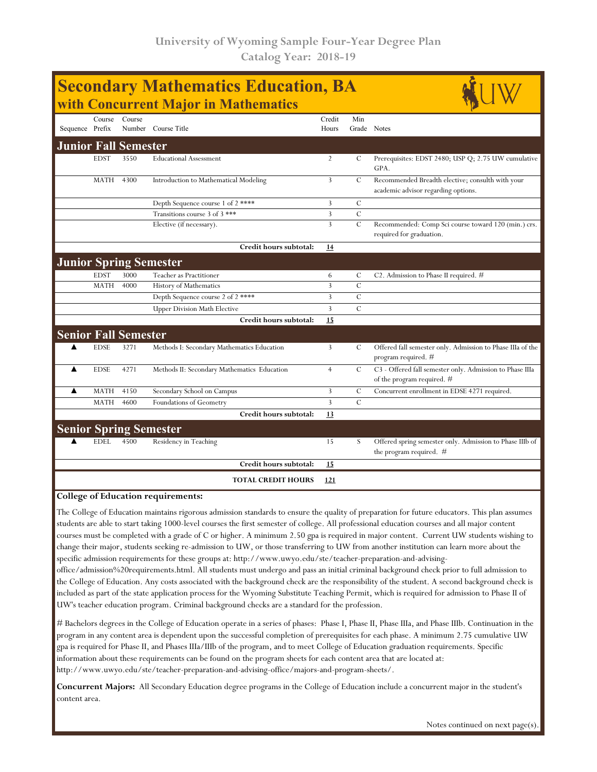| Course<br>Credit<br>Min<br>Course<br>Sequence Prefix<br>Number Course Title<br>Grade Notes<br>Hours<br><b>Junior Fall Semester</b><br>3550<br><b>EDST</b><br><b>Educational Assessment</b><br>$\overline{2}$<br>C<br>GPA.<br>4300<br>3<br>$\mathcal{C}$<br>MATH<br>Introduction to Mathematical Modeling<br>academic advisor regarding options.<br>3<br>$\mathcal{C}$<br>Depth Sequence course 1 of 2 ****<br>3<br>$\mathcal{C}$<br>Transitions course 3 of 3 ***<br>3<br>$\mathcal{C}$<br>Elective (if necessary).<br>required for graduation.<br>Credit hours subtotal:<br>14<br><b>Junior Spring Semester</b><br><b>EDST</b><br>3000<br>Teacher as Practitioner<br>6<br>C<br>C2. Admission to Phase II required. $#$<br>3<br>$\mathcal{C}$<br>4000<br>History of Mathematics<br><b>MATH</b><br>Depth Sequence course 2 of 2****<br>3<br>$\mathcal{C}$<br>$\mathcal{C}$<br>3<br><b>Upper Division Math Elective</b><br>Credit hours subtotal:<br>15<br><b>Senior Fall Semester</b><br><b>EDSE</b><br>3<br>$\mathcal{C}$<br>3271<br>Methods I: Secondary Mathematics Education<br>program required. #<br><b>EDSE</b><br>4271<br>$\cal C$<br>▲<br>$\overline{4}$<br>Methods II: Secondary Mathematics Education<br>of the program required. #<br><b>MATH</b><br>4150<br>3<br>$\mathbf C$<br>▲<br>Secondary School on Campus<br>Concurrent enrollment in EDSE 4271 required.<br>3<br>$\mathcal{C}$<br><b>MATH</b><br>4600<br>Foundations of Geometry<br>Credit hours subtotal:<br>13<br><b>Senior Spring Semester</b><br>4500<br><b>EDEL</b><br>Residency in Teaching<br>15<br>S<br>the program required. #<br>Credit hours subtotal:<br>15<br><b>TOTAL CREDIT HOURS</b><br>121 | <b>Secondary Mathematics Education, BA</b><br>with Concurrent Major in Mathematics |  |  |  |  |  |                                                            |  |  |  |
|--------------------------------------------------------------------------------------------------------------------------------------------------------------------------------------------------------------------------------------------------------------------------------------------------------------------------------------------------------------------------------------------------------------------------------------------------------------------------------------------------------------------------------------------------------------------------------------------------------------------------------------------------------------------------------------------------------------------------------------------------------------------------------------------------------------------------------------------------------------------------------------------------------------------------------------------------------------------------------------------------------------------------------------------------------------------------------------------------------------------------------------------------------------------------------------------------------------------------------------------------------------------------------------------------------------------------------------------------------------------------------------------------------------------------------------------------------------------------------------------------------------------------------------------------------------------------------------------------------------------------------------------------------------------------------|------------------------------------------------------------------------------------|--|--|--|--|--|------------------------------------------------------------|--|--|--|
|                                                                                                                                                                                                                                                                                                                                                                                                                                                                                                                                                                                                                                                                                                                                                                                                                                                                                                                                                                                                                                                                                                                                                                                                                                                                                                                                                                                                                                                                                                                                                                                                                                                                                |                                                                                    |  |  |  |  |  |                                                            |  |  |  |
|                                                                                                                                                                                                                                                                                                                                                                                                                                                                                                                                                                                                                                                                                                                                                                                                                                                                                                                                                                                                                                                                                                                                                                                                                                                                                                                                                                                                                                                                                                                                                                                                                                                                                |                                                                                    |  |  |  |  |  |                                                            |  |  |  |
|                                                                                                                                                                                                                                                                                                                                                                                                                                                                                                                                                                                                                                                                                                                                                                                                                                                                                                                                                                                                                                                                                                                                                                                                                                                                                                                                                                                                                                                                                                                                                                                                                                                                                |                                                                                    |  |  |  |  |  | Prerequisites: EDST 2480; USP Q; 2.75 UW cumulative        |  |  |  |
|                                                                                                                                                                                                                                                                                                                                                                                                                                                                                                                                                                                                                                                                                                                                                                                                                                                                                                                                                                                                                                                                                                                                                                                                                                                                                                                                                                                                                                                                                                                                                                                                                                                                                |                                                                                    |  |  |  |  |  | Recommended Breadth elective; consulth with your           |  |  |  |
|                                                                                                                                                                                                                                                                                                                                                                                                                                                                                                                                                                                                                                                                                                                                                                                                                                                                                                                                                                                                                                                                                                                                                                                                                                                                                                                                                                                                                                                                                                                                                                                                                                                                                |                                                                                    |  |  |  |  |  |                                                            |  |  |  |
|                                                                                                                                                                                                                                                                                                                                                                                                                                                                                                                                                                                                                                                                                                                                                                                                                                                                                                                                                                                                                                                                                                                                                                                                                                                                                                                                                                                                                                                                                                                                                                                                                                                                                |                                                                                    |  |  |  |  |  |                                                            |  |  |  |
|                                                                                                                                                                                                                                                                                                                                                                                                                                                                                                                                                                                                                                                                                                                                                                                                                                                                                                                                                                                                                                                                                                                                                                                                                                                                                                                                                                                                                                                                                                                                                                                                                                                                                |                                                                                    |  |  |  |  |  | Recommended: Comp Sci course toward 120 (min.) crs.        |  |  |  |
|                                                                                                                                                                                                                                                                                                                                                                                                                                                                                                                                                                                                                                                                                                                                                                                                                                                                                                                                                                                                                                                                                                                                                                                                                                                                                                                                                                                                                                                                                                                                                                                                                                                                                |                                                                                    |  |  |  |  |  |                                                            |  |  |  |
|                                                                                                                                                                                                                                                                                                                                                                                                                                                                                                                                                                                                                                                                                                                                                                                                                                                                                                                                                                                                                                                                                                                                                                                                                                                                                                                                                                                                                                                                                                                                                                                                                                                                                |                                                                                    |  |  |  |  |  |                                                            |  |  |  |
|                                                                                                                                                                                                                                                                                                                                                                                                                                                                                                                                                                                                                                                                                                                                                                                                                                                                                                                                                                                                                                                                                                                                                                                                                                                                                                                                                                                                                                                                                                                                                                                                                                                                                |                                                                                    |  |  |  |  |  |                                                            |  |  |  |
|                                                                                                                                                                                                                                                                                                                                                                                                                                                                                                                                                                                                                                                                                                                                                                                                                                                                                                                                                                                                                                                                                                                                                                                                                                                                                                                                                                                                                                                                                                                                                                                                                                                                                |                                                                                    |  |  |  |  |  |                                                            |  |  |  |
|                                                                                                                                                                                                                                                                                                                                                                                                                                                                                                                                                                                                                                                                                                                                                                                                                                                                                                                                                                                                                                                                                                                                                                                                                                                                                                                                                                                                                                                                                                                                                                                                                                                                                |                                                                                    |  |  |  |  |  |                                                            |  |  |  |
|                                                                                                                                                                                                                                                                                                                                                                                                                                                                                                                                                                                                                                                                                                                                                                                                                                                                                                                                                                                                                                                                                                                                                                                                                                                                                                                                                                                                                                                                                                                                                                                                                                                                                |                                                                                    |  |  |  |  |  |                                                            |  |  |  |
|                                                                                                                                                                                                                                                                                                                                                                                                                                                                                                                                                                                                                                                                                                                                                                                                                                                                                                                                                                                                                                                                                                                                                                                                                                                                                                                                                                                                                                                                                                                                                                                                                                                                                |                                                                                    |  |  |  |  |  |                                                            |  |  |  |
|                                                                                                                                                                                                                                                                                                                                                                                                                                                                                                                                                                                                                                                                                                                                                                                                                                                                                                                                                                                                                                                                                                                                                                                                                                                                                                                                                                                                                                                                                                                                                                                                                                                                                |                                                                                    |  |  |  |  |  |                                                            |  |  |  |
|                                                                                                                                                                                                                                                                                                                                                                                                                                                                                                                                                                                                                                                                                                                                                                                                                                                                                                                                                                                                                                                                                                                                                                                                                                                                                                                                                                                                                                                                                                                                                                                                                                                                                |                                                                                    |  |  |  |  |  | Offered fall semester only. Admission to Phase IIIa of the |  |  |  |
|                                                                                                                                                                                                                                                                                                                                                                                                                                                                                                                                                                                                                                                                                                                                                                                                                                                                                                                                                                                                                                                                                                                                                                                                                                                                                                                                                                                                                                                                                                                                                                                                                                                                                |                                                                                    |  |  |  |  |  | C3 - Offered fall semester only. Admission to Phase IIIa   |  |  |  |
|                                                                                                                                                                                                                                                                                                                                                                                                                                                                                                                                                                                                                                                                                                                                                                                                                                                                                                                                                                                                                                                                                                                                                                                                                                                                                                                                                                                                                                                                                                                                                                                                                                                                                |                                                                                    |  |  |  |  |  |                                                            |  |  |  |
|                                                                                                                                                                                                                                                                                                                                                                                                                                                                                                                                                                                                                                                                                                                                                                                                                                                                                                                                                                                                                                                                                                                                                                                                                                                                                                                                                                                                                                                                                                                                                                                                                                                                                |                                                                                    |  |  |  |  |  |                                                            |  |  |  |
|                                                                                                                                                                                                                                                                                                                                                                                                                                                                                                                                                                                                                                                                                                                                                                                                                                                                                                                                                                                                                                                                                                                                                                                                                                                                                                                                                                                                                                                                                                                                                                                                                                                                                |                                                                                    |  |  |  |  |  |                                                            |  |  |  |
|                                                                                                                                                                                                                                                                                                                                                                                                                                                                                                                                                                                                                                                                                                                                                                                                                                                                                                                                                                                                                                                                                                                                                                                                                                                                                                                                                                                                                                                                                                                                                                                                                                                                                |                                                                                    |  |  |  |  |  |                                                            |  |  |  |
|                                                                                                                                                                                                                                                                                                                                                                                                                                                                                                                                                                                                                                                                                                                                                                                                                                                                                                                                                                                                                                                                                                                                                                                                                                                                                                                                                                                                                                                                                                                                                                                                                                                                                |                                                                                    |  |  |  |  |  | Offered spring semester only. Admission to Phase IIIb of   |  |  |  |
|                                                                                                                                                                                                                                                                                                                                                                                                                                                                                                                                                                                                                                                                                                                                                                                                                                                                                                                                                                                                                                                                                                                                                                                                                                                                                                                                                                                                                                                                                                                                                                                                                                                                                |                                                                                    |  |  |  |  |  |                                                            |  |  |  |
|                                                                                                                                                                                                                                                                                                                                                                                                                                                                                                                                                                                                                                                                                                                                                                                                                                                                                                                                                                                                                                                                                                                                                                                                                                                                                                                                                                                                                                                                                                                                                                                                                                                                                |                                                                                    |  |  |  |  |  |                                                            |  |  |  |

## **College of Education requirements:**

The College of Education maintains rigorous admission standards to ensure the quality of preparation for future educators. This plan assumes students are able to start taking 1000-level courses the first semester of college. All professional education courses and all major content courses must be completed with a grade of C or higher. A minimum 2.50 gpa is required in major content. Current UW students wishing to change their major, students seeking re-admission to UW, or those transferring to UW from another institution can learn more about the specific admission requirements for these groups at: http://www.uwyo.edu/ste/teacher-preparation-and-advising-

office/admission%20requirements.html. All students must undergo and pass an initial criminal background check prior to full admission to the College of Education. Any costs associated with the background check are the responsibility of the student. A second background check is included as part of the state application process for the Wyoming Substitute Teaching Permit, which is required for admission to Phase II of UW's teacher education program. Criminal background checks are a standard for the profession.

# Bachelors degrees in the College of Education operate in a series of phases: Phase I, Phase II, Phase IIIa, and Phase IIIb. Continuation in the program in any content area is dependent upon the successful completion of prerequisites for each phase. A minimum 2.75 cumulative UW gpa is required for Phase II, and Phases IIIa/IIIb of the program, and to meet College of Education graduation requirements. Specific information about these requirements can be found on the program sheets for each content area that are located at: http://www.uwyo.edu/ste/teacher-preparation-and-advising-office/majors-and-program-sheets/.

**Concurrent Majors:** All Secondary Education degree programs in the College of Education include a concurrent major in the student's content area.